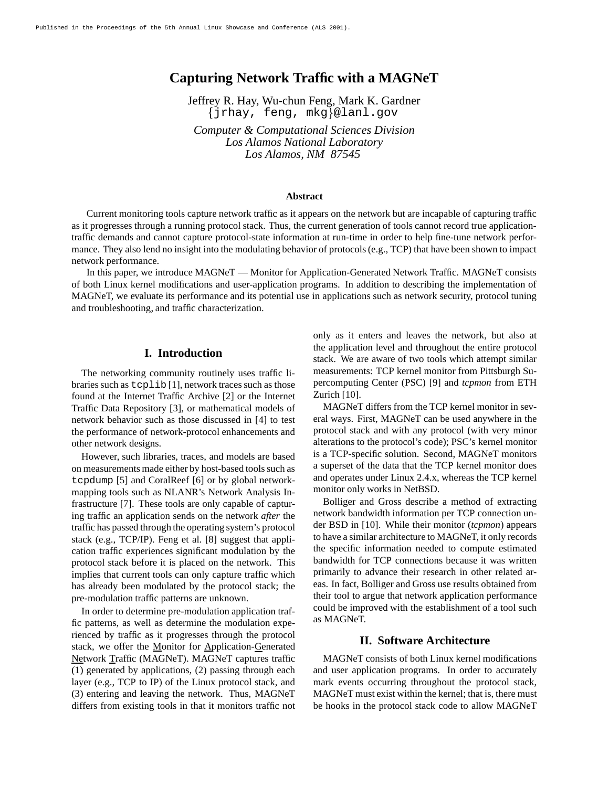# **Capturing Network Traffic with a MAGNeT**

Jeffrey R. Hay, Wu-chun Feng, Mark K. Gardner  $\{\text{\tt jrhay}, \text{\tt feng}, \text{\tt mkg}\}$ @lanl.gov

*Computer & Computational Sciences Division Los Alamos National Laboratory Los Alamos, NM 87545*

#### **Abstract**

Current monitoring tools capture network traffic as it appears on the network but are incapable of capturing traffic as it progresses through a running protocol stack. Thus, the current generation of tools cannot record true applicationtraffic demands and cannot capture protocol-state information at run-time in order to help fine-tune network performance. They also lend no insight into the modulating behavior of protocols(e.g., TCP) that have been shown to impact network performance.

In this paper, we introduce MAGNeT — Monitor for Application-Generated Network Traffic. MAGNeT consists of both Linux kernel modifications and user-application programs. In addition to describing the implementation of MAGNeT, we evaluate its performance and its potential use in applications such as network security, protocol tuning and troubleshooting, and traffic characterization.

#### **I. Introduction**

The networking community routinely uses traffic libraries such as  $t$ cplib [1], network traces such as those found at the Internet Traffic Archive [2] or the Internet Traffic Data Repository [3], or mathematical models of network behavior such as those discussed in [4] to test the performance of network-protocol enhancements and other network designs.

However, such libraries, traces, and models are based on measurements made either by host-based tools such as tcpdump [5] and CoralReef [6] or by global networkmapping tools such as NLANR's Network Analysis Infrastructure [7]. These tools are only capable of capturing traffic an application sends on the network *after* the traffic has passed through the operating system's protocol stack (e.g., TCP/IP). Feng et al. [8] suggest that application traffic experiences significant modulation by the protocol stack before it is placed on the network. This implies that current tools can only capture traffic which has already been modulated by the protocol stack; the pre-modulation traffic patterns are unknown.

In order to determine pre-modulation application traffic patterns, as well as determine the modulation experienced by traffic as it progresses through the protocol stack, we offer the Monitor for Application-Generated Network Traffic (MAGNeT). MAGNeT captures traffic (1) generated by applications, (2) passing through each layer (e.g., TCP to IP) of the Linux protocol stack, and (3) entering and leaving the network. Thus, MAGNeT differs from existing tools in that it monitors traffic not only as it enters and leaves the network, but also at the application level and throughout the entire protocol stack. We are aware of two tools which attempt similar measurements: TCP kernel monitor from Pittsburgh Supercomputing Center (PSC) [9] and *tcpmon* from ETH Zurich [10].

MAGNeT differs from the TCP kernel monitor in several ways. First, MAGNeT can be used anywhere in the protocol stack and with any protocol (with very minor alterations to the protocol's code); PSC's kernel monitor is a TCP-specific solution. Second, MAGNeT monitors a superset of the data that the TCP kernel monitor does and operates under Linux 2.4.x, whereas the TCP kernel monitor only works in NetBSD.

Bolliger and Gross describe a method of extracting network bandwidth information per TCP connection under BSD in [10]. While their monitor (*tcpmon*) appears to have a similar architecture to MAGNeT, it only records the specific information needed to compute estimated bandwidth for TCP connections because it was written primarily to advance their research in other related areas. In fact, Bolliger and Gross use results obtained from their tool to argue that network application performance could be improved with the establishment of a tool such as MAGNeT.

#### **II. Software Architecture**

MAGNeT consists of both Linux kernel modifications and user application programs. In order to accurately mark events occurring throughout the protocol stack, MAGNeT must exist within the kernel; that is, there must be hooks in the protocol stack code to allow MAGNeT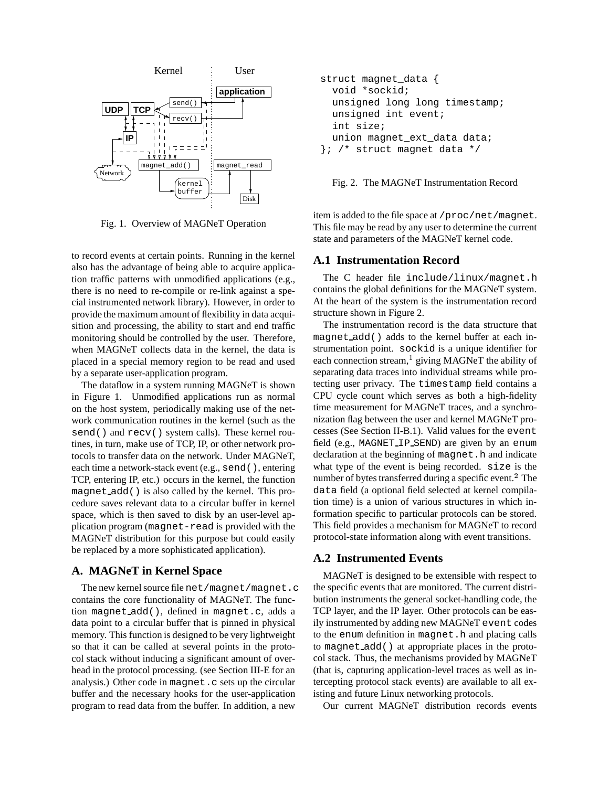

Fig. 1. Overview of MAGNeT Operation

to record events at certain points. Running in the kernel also has the advantage of being able to acquire application traffic patterns with unmodified applications (e.g., there is no need to re-compile or re-link against a special instrumented network library). However, in order to provide the maximum amount of flexibility in data acquisition and processing, the ability to start and end traffic monitoring should be controlled by the user. Therefore, when MAGNeT collects data in the kernel, the data is placed in a special memory region to be read and used by a separate user-application program.

The dataflow in a system running MAGNeT is shown in Figure 1. Unmodified applications run as normal on the host system, periodically making use of the network communication routines in the kernel (such as the send() and recv() system calls). These kernel routines, in turn, make use of TCP, IP, or other network protocols to transfer data on the network. Under MAGNeT, each time a network-stack event (e.g., send(), entering TCP, entering IP, etc.) occurs in the kernel, the function magnet add() is also called by the kernel. This procedure saves relevant data to a circular buffer in kernel space, which is then saved to disk by an user-level application program (magnet-read is provided with the MAGNeT distribution for this purpose but could easily be replaced by a more sophisticated application).

## **A. MAGNeT in Kernel Space**

The new kernel source file net/magnet/magnet.c contains the core functionality of MAGNeT. The function magnet add(), defined in magnet.c, adds a data point to a circular buffer that is pinned in physical memory. This function is designed to be very lightweight so that it can be called at several points in the protocol stack without inducing a significant amount of overhead in the protocol processing. (see Section III-E for an analysis.) Other code in magnet.c sets up the circular buffer and the necessary hooks for the user-application program to read data from the buffer. In addition, a new

```
struct magnet data {
 void *sockid;
 unsigned long long timestamp;
 unsigned int event;
 int size;
 union magnet_ext_data data;
}; /* struct magnet data */
```


item is added to the file space at /proc/net/magnet. This file may be read by any user to determine the current state and parameters of the MAGNeT kernel code.

#### **A.1 Instrumentation Record**

The C header file include/linux/magnet.h contains the global definitions for the MAGNeT system. At the heart of the system is the instrumentation record structure shown in Figure 2.

The instrumentation record is the data structure that magnet add() adds to the kernel buffer at each instrumentation point. sockid is a unique identifier for each connection stream,<sup>1</sup> giving MAGNeT the ability of separating data traces into individual streams while protecting user privacy. The timestamp field contains a CPU cycle count which serves as both a high-fidelity time measurement for MAGNeT traces, and a synchronization flag between the user and kernel MAGNeT processes (See Section II-B.1). Valid values for the event field (e.g., MAGNET IP SEND) are given by an enum declaration at the beginning of magnet.h and indicate what type of the event is being recorded. size is the number of bytes transferred during a specific event.<sup>2</sup> The data field (a optional field selected at kernel compilation time) is a union of various structures in which information specific to particular protocols can be stored. This field provides a mechanism for MAGNeT to record protocol-state information along with event transitions.

### **A.2 Instrumented Events**

MAGNeT is designed to be extensible with respect to the specific events that are monitored. The current distribution instruments the general socket-handling code, the TCP layer, and the IP layer. Other protocols can be easily instrumented by adding new MAGNeT event codes to the enum definition in magnet.h and placing calls to magnet add() at appropriate places in the protocol stack. Thus, the mechanisms provided by MAGNeT (that is, capturing application-level traces as well as intercepting protocol stack events) are available to all existing and future Linux networking protocols.

Our current MAGNeT distribution records events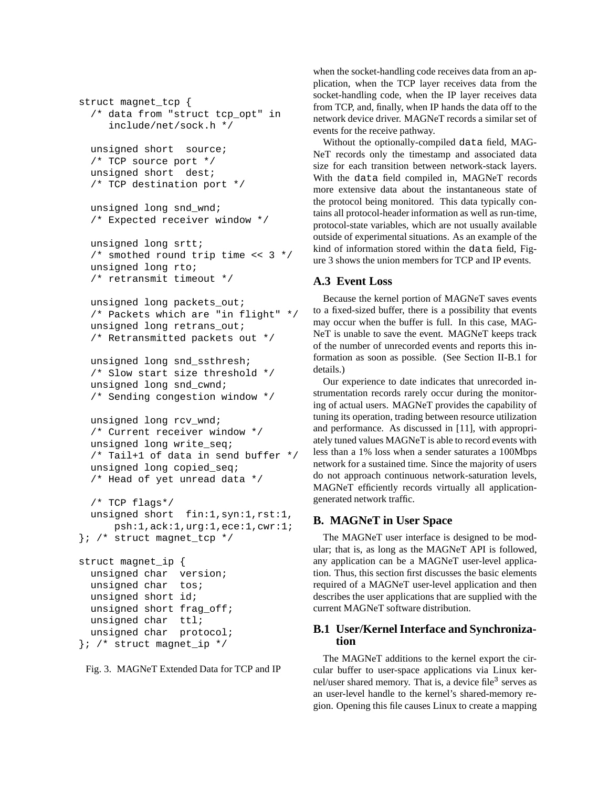```
struct magnet_tcp {
  /* data from "struct tcp_opt" in
     include/net/sock.h */
 unsigned short source;
  /* TCP source port */
 unsigned short dest;
  /* TCP destination port */
 unsigned long snd_wnd;
  /* Expected receiver window */
 unsigned long srtt;
  /* smothed round trip time << 3 */
 unsigned long rto;
  /* retransmit timeout */
 unsigned long packets_out;
  /* Packets which are "in flight" */
 unsigned long retrans_out;
  /* Retransmitted packets out */
 unsigned long snd_ssthresh;
  /* Slow start size threshold */
 unsigned long snd cwnd;
  /* Sending congestion window */
 unsigned long rcv_wnd;
  /* Current receiver window */
 unsigned long write seq;
  /* Tail+1 of data in send buffer */
 unsigned long copied_seq;
  /* Head of yet unread data */
  /* TCP flags*/
 unsigned short fin:1,syn:1,rst:1,
     psh:1,ack:1,urg:1,ece:1,cwr:1;
}; /* struct magnet_tcp */
struct magnet_ip {
 unsigned char version;
 unsigned char tos;
 unsigned short id;
```
unsigned char ttl; unsigned char protocol; }; /\* struct magnet\_ip \*/

unsigned short frag\_off;

Fig. 3. MAGNeT Extended Data for TCP and IP

when the socket-handling code receives data from an application, when the TCP layer receives data from the socket-handling code, when the IP layer receives data from TCP, and, finally, when IP hands the data off to the network device driver. MAGNeT records a similar set of events for the receive pathway.

Without the optionally-compiled data field, MAG-NeT records only the timestamp and associated data size for each transition between network-stack layers. With the data field compiled in, MAGNeT records more extensive data about the instantaneous state of the protocol being monitored. This data typically contains all protocol-header information as well as run-time, protocol-state variables, which are not usually available outside of experimental situations. As an example of the kind of information stored within the data field, Figure 3 shows the union members for TCP and IP events.

## **A.3 Event Loss**

Because the kernel portion of MAGNeT saves events to a fixed-sized buffer, there is a possibility that events may occur when the buffer is full. In this case, MAG-NeT is unable to save the event. MAGNeT keeps track of the number of unrecorded events and reports this information as soon as possible. (See Section II-B.1 for details.)

Our experience to date indicates that unrecorded instrumentation records rarely occur during the monitoring of actual users. MAGNeT provides the capability of tuning its operation, trading between resource utilization and performance. As discussed in [11], with appropriately tuned values MAGNeT is able to record events with less than a 1% loss when a sender saturates a 100Mbps network for a sustained time. Since the majority of users do not approach continuous network-saturation levels, MAGNeT efficiently records virtually all applicationgenerated network traffic.

## **B. MAGNeT in User Space**

The MAGNeT user interface is designed to be modular; that is, as long as the MAGNeT API is followed, any application can be a MAGNeT user-level application. Thus, this section first discusses the basic elements required of a MAGNeT user-level application and then describes the user applications that are supplied with the current MAGNeT software distribution.

## **B.1** User/Kernel Interface and Synchroniza**tion**

The MAGNeT additions to the kernel export the circular buffer to user-space applications via Linux kernel/user shared memory. That is, a device file<sup>3</sup> serves as an user-level handle to the kernel's shared-memory region. Opening this file causes Linux to create a mapping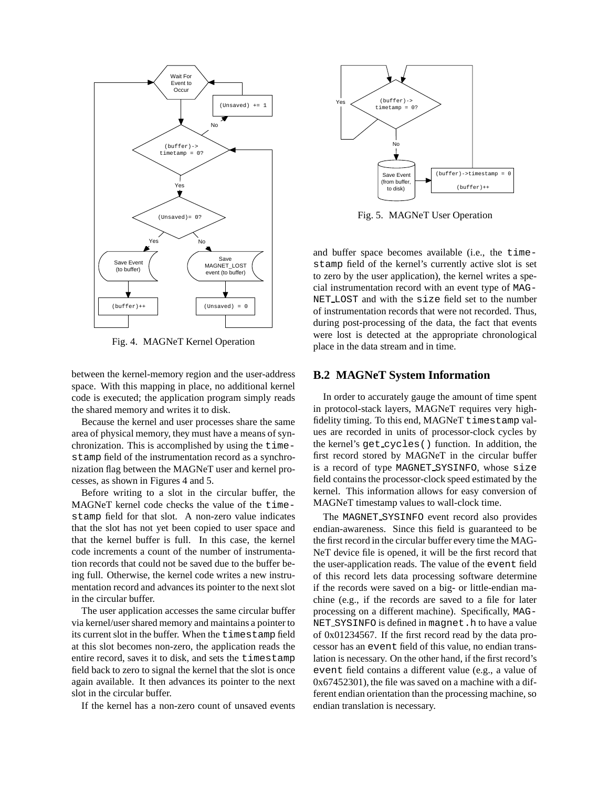

Fig. 4. MAGNeT Kernel Operation

between the kernel-memory region and the user-address space. With this mapping in place, no additional kernel code is executed; the application program simply reads the shared memory and writes it to disk.

Because the kernel and user processes share the same area of physical memory, they must have a means of synchronization. This is accomplished by using the timestamp field of the instrumentation record as a synchronization flag between the MAGNeT user and kernel processes, as shown in Figures 4 and 5.

Before writing to a slot in the circular buffer, the MAGNeT kernel code checks the value of the timestamp field for that slot. A non-zero value indicates that the slot has not yet been copied to user space and that the kernel buffer is full. In this case, the kernel code increments a count of the number of instrumentation records that could not be saved due to the buffer being full. Otherwise, the kernel code writes a new instrumentation record and advances its pointer to the next slot in the circular buffer.

The user application accesses the same circular buffer via kernel/user shared memory and maintains a pointer to its current slot in the buffer. When the timestamp field at this slot becomes non-zero, the application reads the entire record, saves it to disk, and sets the timestamp field back to zero to signal the kernel that the slot is once again available. It then advances its pointer to the next slot in the circular buffer.

If the kernel has a non-zero count of unsaved events



Fig. 5. MAGNeT User Operation

and buffer space becomes available (i.e., the timestamp field of the kernel's currently active slot is set to zero by the user application), the kernel writes a special instrumentation record with an event type of MAG-NET LOST and with the size field set to the number of instrumentation records that were not recorded. Thus, during post-processing of the data, the fact that events were lost is detected at the appropriate chronological place in the data stream and in time.

#### **B.2 MAGNeT System Information**

In order to accurately gauge the amount of time spent in protocol-stack layers, MAGNeT requires very highfidelity timing. To this end, MAGNeT timestamp values are recorded in units of processor-clock cycles by the kernel's get cycles() function. In addition, the first record stored by MAGNeT in the circular buffer is a record of type MAGNET SYSINFO, whose size field contains the processor-clock speed estimated by the kernel. This information allows for easy conversion of MAGNeT timestamp values to wall-clock time.

The MAGNET\_SYSINFO event record also provides endian-awareness. Since this field is guaranteed to be the first record in the circular buffer every time the MAG-NeT device file is opened, it will be the first record that the user-application reads. The value of the event field of this record lets data processing software determine if the records were saved on a big- or little-endian machine (e.g., if the records are saved to a file for later processing on a different machine). Specifically, MAG-NET\_SYSINFO is defined in magnet.h to have a value of 0x01234567. If the first record read by the data processor has an event field of this value, no endian translation is necessary. On the other hand, if the first record's event field contains a different value (e.g., a value of 0x67452301), the file was saved on a machine with a different endian orientation than the processing machine, so endian translation is necessary.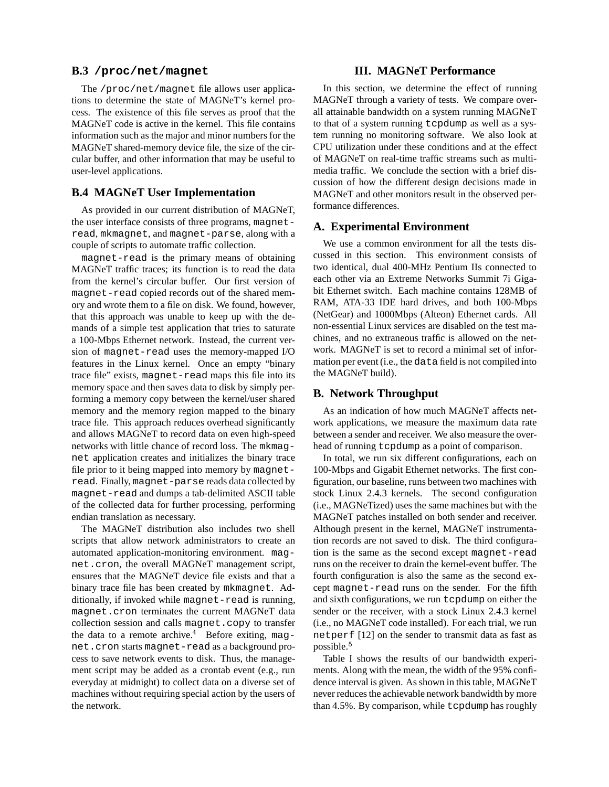### **B.3 /proc/net/magnet**

The /proc/net/magnet file allows user applications to determine the state of MAGNeT's kernel process. The existence of this file serves as proof that the MAGNeT code is active in the kernel. This file contains information such as the major and minor numbers for the MAGNeT shared-memory device file, the size of the circular buffer, and other information that may be useful to user-level applications.

### **B.4 MAGNeT User Implementation**

As provided in our current distribution of MAGNeT, the user interface consists of three programs, magnetread, mkmagnet, and magnet-parse, along with a couple of scripts to automate traffic collection.

magnet-read is the primary means of obtaining MAGNeT traffic traces; its function is to read the data from the kernel's circular buffer. Our first version of magnet-read copied records out of the shared memory and wrote them to a file on disk. We found, however, that this approach was unable to keep up with the demands of a simple test application that tries to saturate a 100-Mbps Ethernet network. Instead, the current version of magnet-read uses the memory-mapped I/O features in the Linux kernel. Once an empty "binary trace file" exists, magnet-read maps this file into its memory space and then saves data to disk by simply performing a memory copy between the kernel/user shared memory and the memory region mapped to the binary trace file. This approach reduces overhead significantly and allows MAGNeT to record data on even high-speed networks with little chance of record loss. The mkmagnet application creates and initializes the binary trace file prior to it being mapped into memory by magnetread. Finally, magnet-parse reads data collected by magnet-read and dumps a tab-delimited ASCII table of the collected data for further processing, performing endian translation as necessary.

The MAGNeT distribution also includes two shell scripts that allow network administrators to create an automated application-monitoring environment. magnet.cron, the overall MAGNeT management script, ensures that the MAGNeT device file exists and that a binary trace file has been created by mkmagnet. Additionally, if invoked while magnet-read is running, magnet.cron terminates the current MAGNeT data collection session and calls magnet.copy to transfer the data to a remote archive.<sup>4</sup> Before exiting, magnet.cron starts magnet-read as a background process to save network events to disk. Thus, the management script may be added as a crontab event (e.g., run everyday at midnight) to collect data on a diverse set of machines without requiring special action by the users of the network.

## **III. MAGNeT Performance**

In this section, we determine the effect of running MAGNeT through a variety of tests. We compare overall attainable bandwidth on a system running MAGNeT to that of a system running tcpdump as well as a system running no monitoring software. We also look at CPU utilization under these conditions and at the effect of MAGNeT on real-time traffic streams such as multimedia traffic. We conclude the section with a brief discussion of how the different design decisions made in MAGNeT and other monitors result in the observed performance differences.

### **A. Experimental Environment**

We use a common environment for all the tests discussed in this section. This environment consists of two identical, dual 400-MHz Pentium IIs connected to each other via an Extreme Networks Summit 7i Gigabit Ethernet switch. Each machine contains 128MB of RAM, ATA-33 IDE hard drives, and both 100-Mbps (NetGear) and 1000Mbps (Alteon) Ethernet cards. All non-essential Linux services are disabled on the test machines, and no extraneous traffic is allowed on the network. MAGNeT is set to record a minimal set of information per event (i.e., the data field is not compiled into the MAGNeT build).

#### **B. Network Throughput**

As an indication of how much MAGNeT affects network applications, we measure the maximum data rate between a sender and receiver. We also measure the overhead of running tcpdump as a point of comparison.

In total, we run six different configurations, each on 100-Mbps and Gigabit Ethernet networks. The first configuration, our baseline, runs between two machines with stock Linux 2.4.3 kernels. The second configuration (i.e., MAGNeTized) uses the same machines but with the MAGNeT patches installed on both sender and receiver. Although present in the kernel, MAGNeT instrumentation records are not saved to disk. The third configuration is the same as the second except magnet-read runs on the receiver to drain the kernel-event buffer. The fourth configuration is also the same as the second except magnet-read runs on the sender. For the fifth and sixth configurations, we run tcpdump on either the sender or the receiver, with a stock Linux 2.4.3 kernel (i.e., no MAGNeT code installed). For each trial, we run netperf [12] on the sender to transmit data as fast as possible.

Table I shows the results of our bandwidth experiments. Along with the mean, the width of the 95% confidence interval is given. As shown in this table, MAGNeT never reduces the achievable network bandwidth by more than 4.5%. By comparison, while tcpdump has roughly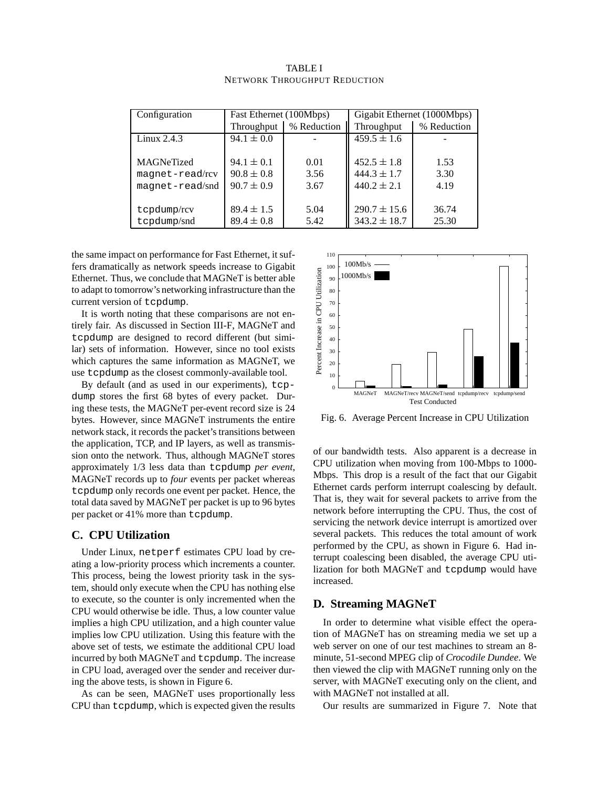| Configuration   | Fast Ethernet (100Mbps) |             | Gigabit Ethernet (1000Mbps) |             |
|-----------------|-------------------------|-------------|-----------------------------|-------------|
|                 | Throughput              | % Reduction | Throughput                  | % Reduction |
| Linux $2.4.3$   | $94.1 \pm 0.0$          |             | $459.5 \pm 1.6$             |             |
|                 |                         |             |                             |             |
| MAGNeTized      | $94.1 \pm 0.1$          | 0.01        | $452.5 \pm 1.8$             | 1.53        |
| magnet-read/rcv | $90.8 \pm 0.8$          | 3.56        | $444.3 \pm 1.7$             | 3.30        |
| magnet-read/snd | $90.7 \pm 0.9$          | 3.67        | $440.2 \pm 2.1$             | 4.19        |
|                 |                         |             |                             |             |
| tcpdump/rcv     | $89.4 \pm 1.5$          | 5.04        | $290.7 \pm 15.6$            | 36.74       |
| tcpdump/snd     | $89.4 \pm 0.8$          | 5.42        | $343.2 \pm 18.7$            | 25.30       |

TABLE I NETWORK THROUGHPUT REDUCTION

the same impact on performance for Fast Ethernet, it suffers dramatically as network speeds increase to Gigabit Ethernet. Thus, we conclude that MAGNeT is better able to adapt to tomorrow's networking infrastructure than the current version of tcpdump.

It is worth noting that these comparisons are not entirely fair. As discussed in Section III-F, MAGNeT and tcpdump are designed to record different (but similar) sets of information. However, since no tool exists which captures the same information as MAGNeT, we use tcpdump as the closest commonly-available tool.

By default (and as used in our experiments), tcpdump stores the first 68 bytes of every packet. During these tests, the MAGNeT per-event record size is 24 bytes. However, since MAGNeT instruments the entire network stack, it records the packet's transitions between the application, TCP, and IP layers, as well as transmission onto the network. Thus, although MAGNeT stores approximately 1/3 less data than tcpdump *per event*, MAGNeT records up to *four* events per packet whereas tcpdump only records one event per packet. Hence, the total data saved by MAGNeT per packet is up to 96 bytes per packet or 41% more than tcpdump.

## **C. CPU Utilization**

Under Linux, netperf estimates CPU load by creating a low-priority process which increments a counter. This process, being the lowest priority task in the system, should only execute when the CPU has nothing else to execute, so the counter is only incremented when the CPU would otherwise be idle. Thus, a low counter value implies a high CPU utilization, and a high counter value implies low CPU utilization. Using this feature with the above set of tests, we estimate the additional CPU load incurred by both MAGNeT and tcpdump. The increase in CPU load, averaged over the sender and receiver during the above tests, is shown in Figure 6.

As can be seen, MAGNeT uses proportionally less CPU than tcpdump, which is expected given the results



Fig. 6. Average Percent Increase in CPU Utilization

of our bandwidth tests. Also apparent is a decrease in CPU utilization when moving from 100-Mbps to 1000- Mbps. This drop is a result of the fact that our Gigabit Ethernet cards perform interrupt coalescing by default. That is, they wait for several packets to arrive from the network before interrupting the CPU. Thus, the cost of servicing the network device interrupt is amortized over several packets. This reduces the total amount of work performed by the CPU, as shown in Figure 6. Had interrupt coalescing been disabled, the average CPU utilization for both MAGNeT and tcpdump would have increased.

### **D. Streaming MAGNeT**

In order to determine what visible effect the operation of MAGNeT has on streaming media we set up a web server on one of our test machines to stream an 8 minute, 51-second MPEG clip of *Crocodile Dundee*. We then viewed the clip with MAGNeT running only on the server, with MAGNeT executing only on the client, and with MAGNeT not installed at all.

Our results are summarized in Figure 7. Note that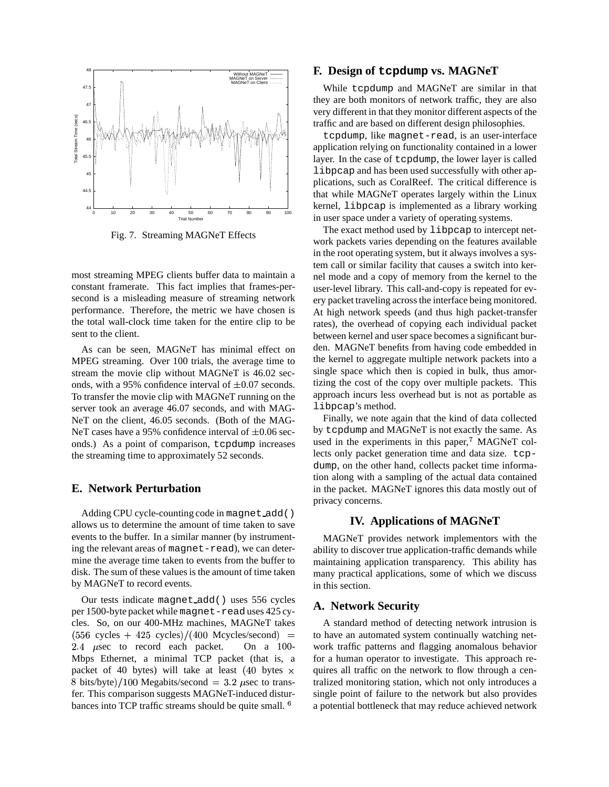

Fig. 7. Streaming MAGNeT Effects

most streaming MPEG clients buffer data to maintain a constant framerate. This fact implies that frames-persecond is a misleading measure of streaming network performance. Therefore, the metric we have chosen is the total wall-clock time taken for the entire clip to be sent to the client.

As can be seen, MAGNeT has minimal effect on MPEG streaming. Over 100 trials, the average time to stream the movie clip without MAGNeT is 46.02 seconds, with a 95% confidence interval of  $\pm 0.07$  seconds. To transfer the movie clip with MAGNeT running on the server took an average 46.07 seconds, and with MAG-NeT on the client, 46.05 seconds. (Both of the MAG-NeT cases have a 95% confidence interval of  $\pm 0.06$  seconds.) As a point of comparison, tcpdump increases the streaming time to approximately 52 seconds.

## **E. Network Perturbation**

Adding CPU cycle-counting code in magnet add() allows us to determine the amount of time taken to save events to the buffer. In a similar manner (by instrumenting the relevant areas of magnet-read), we can determine the average time taken to events from the buffer to disk. The sum of these values is the amount of time taken by MAGNeT to record events.

Our tests indicate magnet add() uses 556 cycles per 1500-byte packet while magnet-read uses 425 cycles. So, on our 400-MHz machines, MAGNeT takes  $(556 \text{ cycles} + 425 \text{ cycles})/(400 \text{ Mcycles/second}) =$  to have an 2.4  $\mu$ sec to record each packet. On a 100-Mbps Ethernet, a minimal TCP packet (that is, a packet of 40 bytes) will take at least  $(40 \text{ bytes} \times \text{quires}$ 8 bits/byte)/100 Megabits/second = 3.2  $\mu$ sec to transfer. This comparison suggests MAGNeT-induced disturbances into TCP traffic streams should be quite small. <sup>6</sup>

### **F. Design of tcpdump vs. MAGNeT**

While tcpdump and MAGNeT are similar in that they are both monitors of network traffic, they are also very different in that they monitor different aspects of the traffic and are based on different design philosophies.

tcpdump, like magnet-read, is an user-interface application relying on functionality contained in a lower layer. In the case of tcpdump, the lower layer is called libpcap and has been used successfully with other applications, such as CoralReef. The critical difference is that while MAGNeT operates largely within the Linux kernel, libpcap is implemented as a library working in user space under a variety of operating systems.

The exact method used by libpcap to intercept network packets varies depending on the features available in the root operating system, but it always involves a system call or similar facility that causes a switch into kernel mode and a copy of memory from the kernel to the user-level library. This call-and-copy is repeated for every packet traveling across the interface being monitored. At high network speeds (and thus high packet-transfer rates), the overhead of copying each individual packet between kernel and user space becomes a significant burden. MAGNeT benefits from having code embedded in the kernel to aggregate multiple network packets into a single space which then is copied in bulk, thus amortizing the cost of the copy over multiple packets. This approach incurs less overhead but is not as portable as libpcap's method.

Finally, we note again that the kind of data collected by tcpdump and MAGNeT is not exactly the same. As used in the experiments in this paper, $7$  MAGNeT collects only packet generation time and data size. tcpdump, on the other hand, collects packet time information along with a sampling of the actual data contained in the packet. MAGNeT ignores this data mostly out of privacy concerns.

### **IV. Applications of MAGNeT**

MAGNeT provides network implementors with the ability to discover true application-traffic demands while maintaining application transparency. This ability has many practical applications, some of which we discuss in this section.

## **A. Network Security**

A standard method of detecting network intrusion is to have an automated system continually watching network traffic patterns and flagging anomalous behavior for a human operator to investigate. This approach requires all traffic on the network to flow through a centralized monitoring station, which not only introduces a single point of failure to the network but also provides a potential bottleneck that may reduce achieved network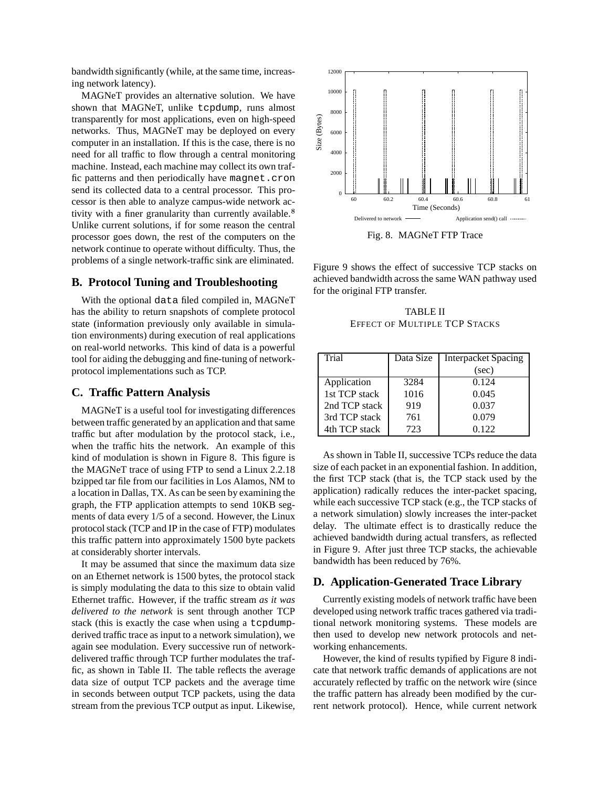bandwidth significantly (while, at the same time, increasing network latency).

MAGNeT provides an alternative solution. We have shown that MAGNeT, unlike tcpdump, runs almost transparently for most applications, even on high-speed networks. Thus, MAGNeT may be deployed on every computer in an installation. If this is the case, there is no need for all traffic to flow through a central monitoring machine. Instead, each machine may collect its own traffic patterns and then periodically have magnet.cron send its collected data to a central processor. This processor is then able to analyze campus-wide network activity with a finer granularity than currently available.<sup>8</sup> Unlike current solutions, if for some reason the central processor goes down, the rest of the computers on the network continue to operate without difficulty. Thus, the problems of a single network-traffic sink are eliminated.

### **B. Protocol Tuning and Troubleshooting**

With the optional data filed compiled in, MAGNeT has the ability to return snapshots of complete protocol state (information previously only available in simulation environments) during execution of real applications on real-world networks. This kind of data is a powerful tool for aiding the debugging and fine-tuning of networkprotocol implementations such as TCP.

#### **C. Traffic Pattern Analysis**

MAGNeT is a useful tool for investigating differences between traffic generated by an application and that same traffic but after modulation by the protocol stack, i.e., when the traffic hits the network. An example of this kind of modulation is shown in Figure 8. This figure is the MAGNeT trace of using FTP to send a Linux 2.2.18 bzipped tar file from our facilities in Los Alamos, NM to a location in Dallas, TX. As can be seen by examining the graph, the FTP application attempts to send 10KB segments of data every 1/5 of a second. However, the Linux protocolstack (TCP and IP in the case of FTP) modulates this traffic pattern into approximately 1500 byte packets at considerably shorter intervals.

It may be assumed that since the maximum data size on an Ethernet network is 1500 bytes, the protocol stack is simply modulating the data to this size to obtain valid Ethernet traffic. However, if the traffic stream *as it was delivered to the network* is sent through another TCP stack (this is exactly the case when using a tcpdumpderived traffic trace as input to a network simulation), we again see modulation. Every successive run of networkdelivered traffic through TCP further modulates the traffic, as shown in Table II. The table reflects the average data size of output TCP packets and the average time in seconds between output TCP packets, using the data stream from the previous TCP output as input. Likewise,



Figure 9 shows the effect of successive TCP stacks on achieved bandwidth across the same WAN pathway used for the original FTP transfer.

TABLE II EFFECT OF MULTIPLE TCP STACKS

| Trial         | Data Size | Interpacket Spacing |
|---------------|-----------|---------------------|
|               |           | (sec)               |
| Application   | 3284      | 0.124               |
| 1st TCP stack | 1016      | 0.045               |
| 2nd TCP stack | 919       | 0.037               |
| 3rd TCP stack | 761       | 0.079               |
| 4th TCP stack | 723       | 0.122               |

As shown in Table II, successive TCPs reduce the data size of each packet in an exponential fashion. In addition, the first TCP stack (that is, the TCP stack used by the application) radically reduces the inter-packet spacing, while each successive TCP stack (e.g., the TCP stacks of a network simulation) slowly increases the inter-packet delay. The ultimate effect is to drastically reduce the achieved bandwidth during actual transfers, as reflected in Figure 9. After just three TCP stacks, the achievable bandwidth has been reduced by 76%.

## **D. Application-Generated Trace Library**

Currently existing models of network traffic have been developed using network traffic traces gathered via traditional network monitoring systems. These models are then used to develop new network protocols and networking enhancements.

However, the kind of results typified by Figure 8 indicate that network traffic demands of applications are not accurately reflected by traffic on the network wire (since the traffic pattern has already been modified by the current network protocol). Hence, while current network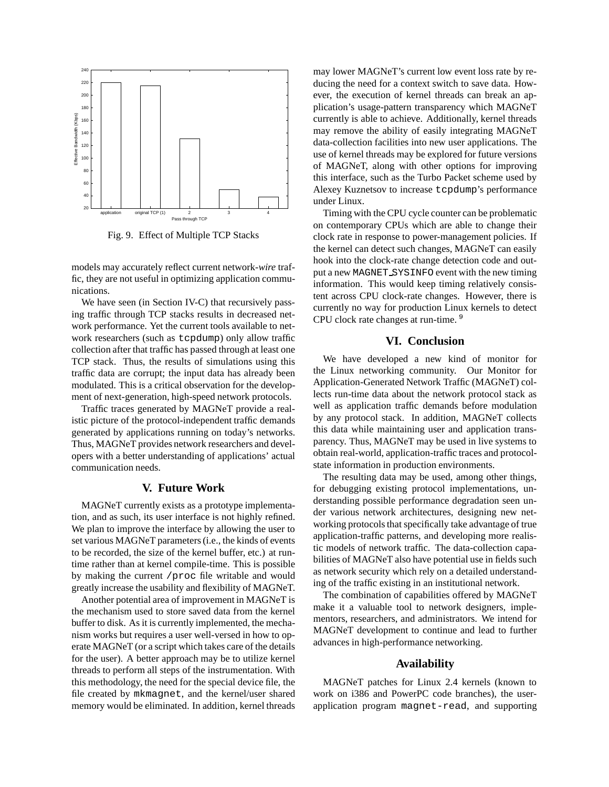

Fig. 9. Effect of Multiple TCP Stacks

models may accurately reflect current network-*wire* traffic, they are not useful in optimizing application communications.

We have seen (in Section IV-C) that recursively passing traffic through TCP stacks results in decreased network performance. Yet the current tools available to network researchers (such as tcpdump) only allow traffic collection after that traffic has passed through at least one TCP stack. Thus, the results of simulations using this traffic data are corrupt; the input data has already been modulated. This is a critical observation for the development of next-generation, high-speed network protocols.

Traffic traces generated by MAGNeT provide a realistic picture of the protocol-independent traffic demands generated by applications running on today's networks. Thus, MAGNeT provides network researchers and developers with a better understanding of applications' actual communication needs.

#### **V. Future Work**

MAGNeT currently exists as a prototype implementation, and as such, its user interface is not highly refined. We plan to improve the interface by allowing the user to set various MAGNeT parameters(i.e., the kinds of events to be recorded, the size of the kernel buffer, etc.) at runtime rather than at kernel compile-time. This is possible by making the current /proc file writable and would greatly increase the usability and flexibility of MAGNeT.

Another potential area of improvement in MAGNeT is the mechanism used to store saved data from the kernel buffer to disk. As it is currently implemented, the mechanism works but requires a user well-versed in how to operate MAGNeT (or a script which takes care of the details for the user). A better approach may be to utilize kernel threads to perform all steps of the instrumentation. With this methodology, the need for the special device file, the file created by mkmagnet, and the kernel/user shared memory would be eliminated. In addition, kernel threads may lower MAGNeT's current low event loss rate by reducing the need for a context switch to save data. However, the execution of kernel threads can break an application's usage-pattern transparency which MAGNeT currently is able to achieve. Additionally, kernel threads may remove the ability of easily integrating MAGNeT data-collection facilities into new user applications. The use of kernel threads may be explored for future versions of MAGNeT, along with other options for improving this interface, such as the Turbo Packet scheme used by Alexey Kuznetsov to increase tcpdump's performance under Linux.

Timing with the CPU cycle counter can be problematic on contemporary CPUs which are able to change their clock rate in response to power-management policies. If the kernel can detect such changes, MAGNeT can easily hook into the clock-rate change detection code and output a new MAGNET\_SYSINFO event with the new timing information. This would keep timing relatively consistent across CPU clock-rate changes. However, there is currently no way for production Linux kernels to detect CPU clock rate changes at run-time.

## **VI. Conclusion**

We have developed a new kind of monitor for the Linux networking community. Our Monitor for Application-Generated Network Traffic (MAGNeT) collects run-time data about the network protocol stack as well as application traffic demands before modulation by any protocol stack. In addition, MAGNeT collects this data while maintaining user and application transparency. Thus, MAGNeT may be used in live systems to obtain real-world, application-traffic traces and protocolstate information in production environments.

The resulting data may be used, among other things, for debugging existing protocol implementations, understanding possible performance degradation seen under various network architectures, designing new networking protocols that specifically take advantage of true application-traffic patterns, and developing more realistic models of network traffic. The data-collection capabilities of MAGNeT also have potential use in fields such as network security which rely on a detailed understanding of the traffic existing in an institutional network.

The combination of capabilities offered by MAGNeT make it a valuable tool to network designers, implementors, researchers, and administrators. We intend for MAGNeT development to continue and lead to further advances in high-performance networking.

#### **Availability**

MAGNeT patches for Linux 2.4 kernels (known to work on i386 and PowerPC code branches), the userapplication program magnet-read, and supporting